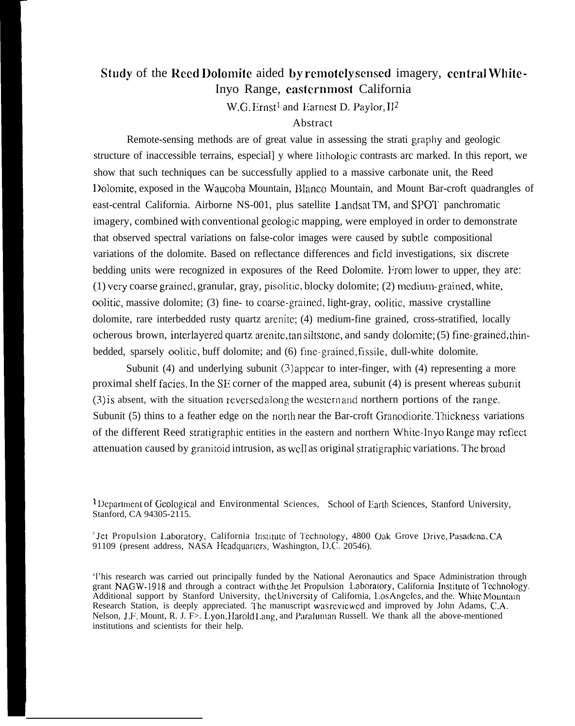# Study of the Reed Dolomite aided by remotely sensed imagery, central White-Inyo Range, easternmost California

W.G. Ernst<sup>1</sup> and Earnest D. Paylor,  $II^2$ 

## Abstract

Remote-sensing methods are of great value in assessing the strati graphy and geologic structure of inaccessible terrains, especial] y where lithologic contrasts arc marked. In this report, we show that such techniques can be successfully applied to a massive carbonate unit, the Reed l)olomite, exposed in the Waucoba Mountain, ]Ilanco Mountain, and Mount Bar-croft quadrangles of east-central California. Airborne NS-001, plus satellite Landsat TM, and SPOT panchromatic imagery, combined with conventional geologic mapping, were employed in order to demonstrate that observed spectral variations on false-color images were caused by subde compositional variations of the dolomite. Based on reflectance differences and field investigations, six discrete bedding units were recognized in exposures of the Reed Dolomite. From lower to upper, they are:  $(1)$  very coarse grained, granular, gray, pisolitic, blocky dolomite;  $(2)$  medium-grained, white, oolitic, massive dolomite; (3) fine- to coarse-grained, light-gray, oolitic, massive crystalline dolomite, rare interbedded rusty quartz arenite; (4) medium-fine grained, cross-stratified, locally ocherous brown, interlayered quartz arenitc, tan siltstone, and sandy ciolomite; (5) fine-grained, thinbedded, sparsely oolitic, buff dolomite; and (6) fine-grained, fissile, dull-white dolomite.

Subunit (4) and underlying subunit  $(3)$  appear to inter-finger, with (4) representing a more proximal shelf facies. In the SE corner of the mapped area, subunit  $(4)$  is present whereas subunit  $(3)$  is absent, with the situation reversed along the western and northern portions of the range. Subunit (5) thins to a feather edge on the north near the Bar-croft Granodiorite. Thickness variations of the different Reed stratigraphic entities in the eastern and northern White-Invo Range may reflect attenuation caused by granitoid intrusion, as well as original stratigraphic variations. The broad

<sup>1</sup> Department of Geological and Environmental Sciences, School of Earth Sciences, Stanford University, Stanford, CA 94305-2115.

<sup>2</sup> Jet Propulsion Laboratory, California Institute of Technology, 4800 Oak Grove Drive, Pasadena, CA 91109 (present address, NASA Ilcadquartcrs, Washington, D.C. 20546).

'l'his research was carried out principally funded by the National Aeronautics and Space Administration through grant NAGW-1918 and through a contract with the Jet Propulsion Laboratory, California Institute of Technology Additional support by Stanford University, the University of California, Los Angeles, and the. White Mountain Research Station, is deeply appreciated. I'hc manuscript was rcvicwcd and improved by John Adams, C.A. Nelson, J.F. Mount, R. J. F>. Lyon, IIarold 1,ang, and Paraluman Russell. We thank all the above-mentioned institutions and scientists for their help.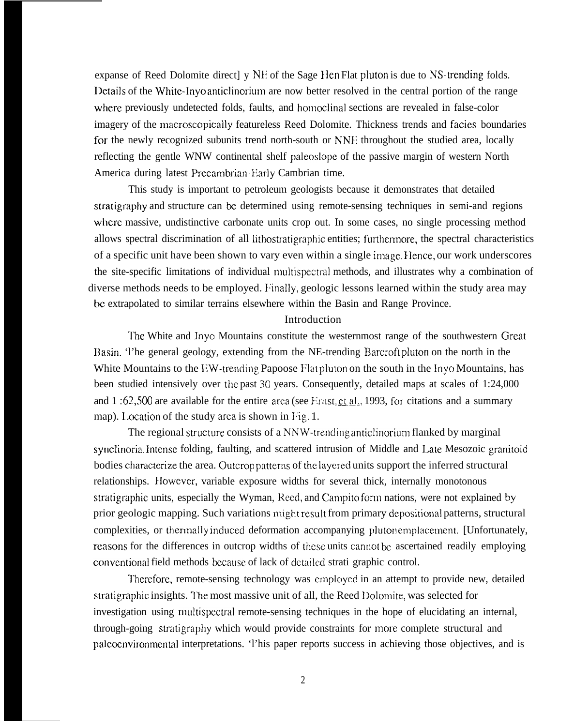expanse of Reed Dolomite direct | y NE of the Sage Hen Flat pluton is due to NS-trending folds. l)ctails of the White-lnyo anticlinorium are now better resolved in the central portion of the range where previously undetected folds, faults, and homoclinal sections are revealed in false-color imagery of the macroscopically featureless Reed Dolomite. Thickness trends and facies boundaries for the newly recognized subunits trend north-south or NNE throughout the studied area, locally reflecting the gentle WNW continental shelf paleoslope of the passive margin of western North America during latest Precambrian-Early Cambrian time.

This study is important to petroleum geologists because it demonstrates that detailed stratigraphy and structure can be determined using remote-sensing techniques in semi-and regions where massive, undistinctive carbonate units crop out. In some cases, no single processing method allows spectral discrimination of all lithostratigraphic entities; furthermore, the spectral characteristics of a specific unit have been shown to vary even within a single image. }Ience, our work underscores the site-specific limitations of individual multispectral methods, and illustrates why a combination of diverse methods needs to be employed. Finally, geologic lessons learned within the study area may be extrapolated to similar terrains elsewhere within the Basin and Range Province.

#### Introduction

The White and Inyo Mountains constitute the westernmost range of the southwestern Great Basin. 'I'he general geology, extending from the NE-trending Barcroft pluton on the north in the White Mountains to the EW-trending Papoose Flat pluton on the south in the Inyo Mountains, has been studied intensively over the past 30 years. Consequently, detailed maps at scales of 1:24,000 and 1:62,500 are available for the entire area (see Ernst,  $ct$  al., 1993, for citations and a summary map). Location of the study area is shown in Fig. 1.

The regional structure consists of a NNW-trending anticlinorium flanked by marginal synclinoria. Intense folding, faulting, and scattered intrusion of Middle and Late Mesozoic granitoid bodies characterize the area. Outcrop patterns of the layered units support the inferred structural relationships. However, variable exposure widths for several thick, internally monotonous stratigraphic units, especially the Wyman, Reed, and Campito form nations, were not explained by prior geologic mapping. Such variations might result from primary depositional patterns, structural complexities, or thermally induced deformation accompanying pluton emplacement. [Unfortunately, reasons for the differences in outcrop widths of these units cannot be ascertained readily employing conventional field methods because of lack of detailed strati graphic control.

Therefore, remote-sensing technology was employed in an attempt to provide new, detailed stratigraphic insights. The most massive unit of all, the Reed Dolomite, was selected for investigation using multispectral remote-sensing techniques in the hope of elucidating an internal, through-going stratigraphy which would provide constraints for more complete structural and palcoenvironmcntal interpretations. 'l'his paper reports success in achieving those objectives, and is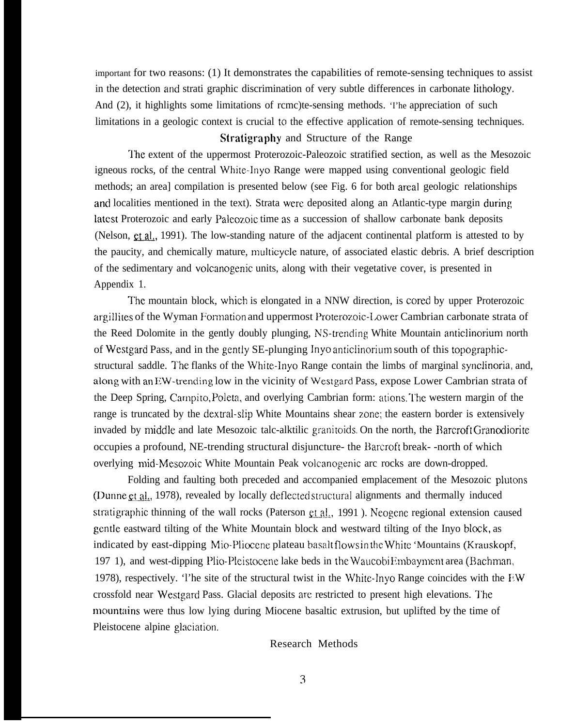important for two reasons: (1) It demonstrates the capabilities of remote-sensing techniques to assist in the detection and strati graphic discrimination of very subtle differences in carbonate lithology. And (2), it highlights some limitations of rcmc)te-sensing methods. 'I'he appreciation of such limitations in a geologic context is crucial to the effective application of remote-sensing techniques.

# Stratigraphy and Structure of the Range

l'he extent of the uppermost Proterozoic-Paleozoic stratified section, as well as the Mesozoic igneous rocks, of the central White-Inyo Range were mapped using conventional geologic field methods; an area] compilation is presented below (see Fig. 6 for both areal geologic relationships and localities mentioned in the text). Strata were deposited along an Atlantic-type margin during latest Proterozoic and early Paleozoic time as a succession of shallow carbonate bank deposits (Nelson, et al., 1991). The low-standing nature of the adjacent continental platform is attested to by the paucity, and chemically mature, multicycle nature, of associated elastic debris. A brief description of the sedimentary and volcanogenic units, along with their vegetative cover, is presented in Appendix 1.

The mountain block, which is elongated in a NNW direction, is cored by upper Proterozoic argillites of the Wyman Formation and uppermost Proterozoic-Lower Cambrian carbonate strata of the Reed Dolomite in the gently doubly plunging, NS-trending White Mountain anticlinorium north of Westgard Pass, and in the gently SE-plunging Inyo anticlinorium south of this topographicstructural saddle. The flanks of the White-Inyo Range contain the limbs of marginal synclinoria, and, along with an EW-trending low in the vicinity of Westgard Pass, expose Lower Cambrian strata of the Deep Spring, Carnpito, Poleta, and overlying Cambrian form: itions. '1'he western margin of the range is truncated by the dextral-slip White Mountains shear zone; the eastern border is extensively invaded by middle and late Mesozoic talc-alktilic granitoids. On the north, the Barcroft Granodiorite occupies a profound, NE-trending structural disjuncture- the Barcroft break- -north of which overlying mid-Mesozoic White Mountain Peak volcanogenic arc rocks are down-dropped.

Folding and faulting both preceded and accompanied emplacement of the Mesozoic plutons (Dunne et al., 1978), revealed by locally deflected structural alignments and thermally induced stratigraphic thinning of the wall rocks (Paterson  $ct$  al., 1991). Neogene regional extension caused gentle eastward tilting of the White Mountain block and westward tilting of the Inyo block, as indicated by east-dipping Mio-Pliocene plateau basalt flows in the white 'Mountains (Krauskopf, 197 1), and west-dipping l)lio-Pleistocene lake beds in the Waucobi Embaymcmt area (Bachrnan, 1978), respectively. 'I'he site of the structural twist in the White-Inyo Range coincides with the  $I^{\text{t}}W$ crossfold near Westgard Pass. Glacial deposits are restricted to present high elevations. The mountains were thus low lying during Miocene basaltic extrusion, but uplifted by the time of Pleistocene alpine glaciation.

#### Research Methods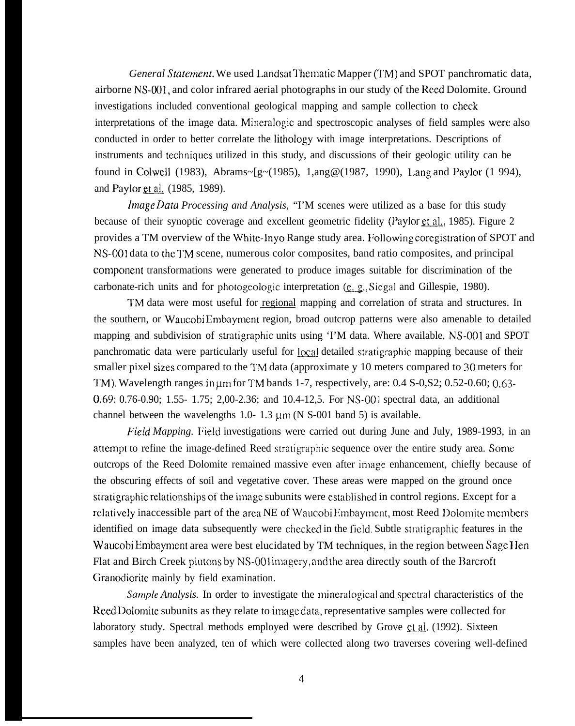*General Statement*. We used Landsat Thematic Mapper (TM) and SPOT panchromatic data, airborne NS-001, and color infrared aerial photographs in our study of the Reed Dolomite. Ground investigations included conventional geological mapping and sample collection to check interpretations of the image data. Mineralogic and spectroscopic analyses of field samples were also conducted in order to better correlate the lithology with image interpretations. Descriptions of instruments and techniques utilized in this study, and discussions of their geologic utility can be found in Colwell (1983), Abrams~[g~(1985), 1,ang@(1987, 1990), 1,ang and Paylor (1 994), and Paylor et al. (1985, 1989).

*<i>Image Data Processing and Analysis,* "I'M scenes were utilized as a base for this study because of their synoptic coverage and excellent geometric fidelity (Paylor  $et al., 1985$ ). Figure 2 provides a TM overview of the White-lnyo Range study area. I;ollowing coregistration of SPOT and NS-001 data to the 1'M scene, numerous color composites, band ratio composites, and principal compcment transformations were generated to produce images suitable for discrimination of the carbonate-rich units and for photogeologic interpretation  $(e, g, Siegal)$  and Gillespie, 1980).

TM data were most useful for regional mapping and correlation of strata and structures. In the southern, or Waucobi Embayment region, broad outcrop patterns were also amenable to detailed mapping and subdivision of stratigraphic units using 'I'M data. Where available, NS-001 and SPOT panchromatic data were particularly useful for  $\alpha$  detailed stratigraphic mapping because of their smaller pixel sizes compared to the TM data (approximate y 10 meters compared to 30 meters for TM). Wavelength ranges in um for TM bands 1-7, respectively, are: 0.4 S-0, S2; 0.52-0.60; 0.63-0.69; 0.76-0.90; 1.55- 1.75; 2,00-2.36; and 10.4-12,5. For NS-001 spectral data, an additional channel between the wavelengths 1.0- 1.3  $\mu$ m (N S-001 band 5) is available.

*Field Mapping.* Field investigations were carried out during June and July, 1989-1993, in an attempt to refine the image-defined Reed stratigraphic sequence over the entire study area. Some outcrops of the Reed Dolomite remained massive even after image enhancement, chiefly because of the obscuring effects of soil and vegetative cover. These areas were mapped on the ground once stratigraphic relationships of the image subunits were established in control regions. Except for a rclatively inaccessible part of the area NE of Waucobi Embayment, most Reed Dolomite members identified on image data subsequently were checked in the field. Subtle stratigraphic features in the Waucobi Embayment area were best elucidated by TM techniques, in the region between Sage Hen Flat and Birch Creek plutons by NS-001 imagery, and the area directly south of the Barcroft Granodiorite mainly by field examination.

Sample *Analysis*. In order to investigate the mineralogical and spectral characteristics of the Reed Dolomite subunits as they relate to image data, representative samples were collected for laboratory study. Spectral methods employed were described by Grove et al. (1992). Sixteen samples have been analyzed, ten of which were collected along two traverses covering well-defined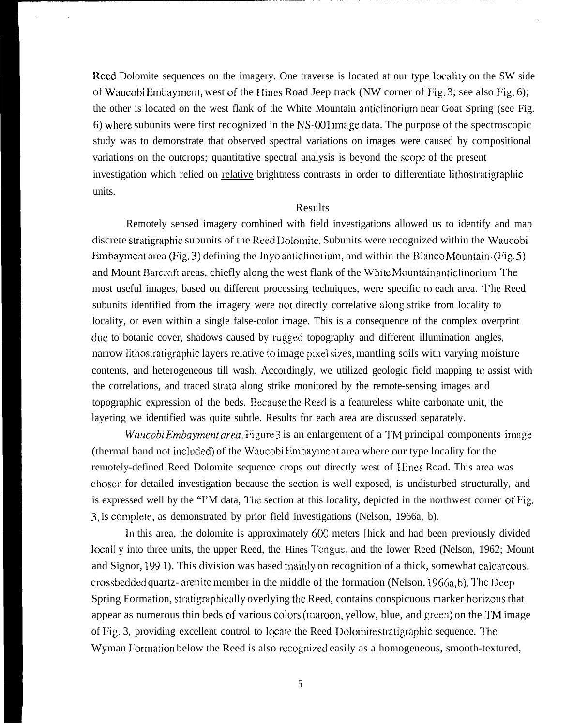Reed Dolomite sequences on the imagery. One traverse is located at our type locality on the SW side of Waucobi Embayment, west of the IIines Road Jeep track (NW corner of I:ig. 3; see also F'ig. 6); the other is located on the west flank of the White Mountain anticlinorium near Goat Spring (see Fig. 6) w}lere subunits were first recognized in the NS-001 image data. The purpose of the spectroscopic study was to demonstrate that observed spectral variations on images were caused by compositional variations on the outcrops; quantitative spectral analysis is beyond the scope of the present investigation which relied on relative brightness contrasts in order to differentiate lithostratigraphic units.

### Results

Remotely sensed imagery combined with field investigations allowed us to identify and map discrete stratigraphic subunits of the Reed Dolomite. Subunits were recognized within the Waucobi Embayment area (Fig. 3) defining the Inyo anticlinorium, and within the Blanco Mountain. (Fig. 5) and Mount Barcroft areas, chiefly along the west flank of the White Mountain anticlinorium. The most useful images, based on different processing techniques, were specific to each area. 'l'he Reed subunits identified from the imagery were not directly correlative along strike from locality to locality, or even within a single false-color image. This is a consequence of the complex overprint due to botanic cover, shadows caused by rugged topography and different illumination angles, narrow lithostratigraphic layers relative to image pixel sizes, mantling soils with varying moisture contents, and heterogeneous till wash. Accordingly, we utilized geologic field mapping to assist with the correlations, and traced strata along strike monitored by the remote-sensing images and topographic expression of the beds. Because the Reed is a featureless white carbonate unit, the layering we identified was quite subtle. Results for each area are discussed separately.

*Waucobi Embayment area.* Figure 3 is an enlargement of a TM principal components image (thermal band not included) of the Waucobi Embayment area where our type locality for the remotely-defined Reed Dolomite sequence crops out directly west of } Iines Road. This area was chosen for detailed investigation because the section is well exposed, is undisturbed structurally, and is expressed well by the "I'M data, The section at this locality, depicted in the northwest corner of Fig. 3, is complete, as demonstrated by prior field investigations (Nelson, 1966a, b).

In this area, the dolomite is approximately 600 meters [hick and had been previously divided locall y into three units, the upper Reed, the Hines Tongue, and the lower Reed (Nelson, 1962; Mount and Signor, 199 1). This division was based mainly on recognition of a thick, somewhat calcareous, crossbedded quartz- arenite member in the middle of the formation (Nelson, 1966a,b). The Deep Spring Formation, stratigraphically overlying the Reed, contains conspicuous marker horizons that appear as numerous thin beds of various colors (maroon, yellow, blue, and green) on the TM image of Fig. 3, providing excellent control to locate the Reed Dolomite stratigraphic sequence. The Wyman Formation below the Reed is also recognized easily as a homogeneous, smooth-textured,

5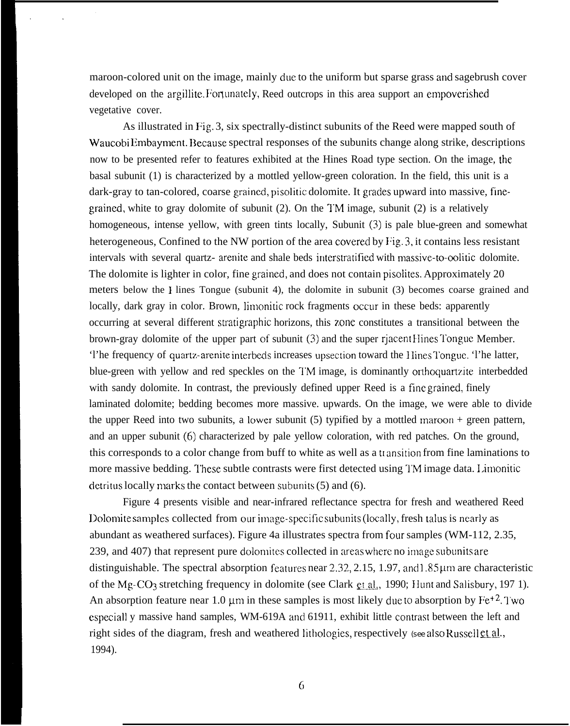maroon-colored unit on the image, mainly due to the uniform but sparse grass and sagebrush cover developed on the argillite. Fortunately, Reed outcrops in this area support an empoverished vegetative cover.

As illustrated in Fig. 3, six spectrally-distinct subunits of the Reed were mapped south of Waucobi Embayment. Because spectral responses of the subunits change along strike, descriptions now to be presented refer to features exhibited at the Hines Road type section. On the image, the basal subunit (1) is characterized by a mottled yellow-green coloration. In the field, this unit is a dark-gray to tan-colored, coarse grained, pisolitic dolomite. It grades upward into massive, finegrained, white to gray dolomite of subunit  $(2)$ . On the TM image, subunit  $(2)$  is a relatively homogeneous, intense yellow, with green tints locally, Subunit (3) is pale blue-green and somewhat heterogeneous, Confined to the NW portion of the area covered by Fig. 3, it contains less resistant intervals with several quartz- arenite and shale beds interstratified with massive-to-oolitic dolomite. The dolomite is lighter in color, fine grained, and does not contain pisolites. Approximately 20 meters below the 1 lines Tongue (subunit 4), the dolomite in subunit (3) becomes coarse grained and locally, dark gray in color. Brown, limonitic rock fragments occur in these beds: apparently occurring at several different stratigraphic horizons, this zone constitutes a transitional between the brown-gray dolomite of the upper part of subunit  $(3)$  and the super rigcent Hines Tongue Member. 'l'he frequency of quartz-arenite interbcds increases upsection toward the I Iines l'ongue. 'l'he latter, blue-green with yellow and red speckles on the TM image, is dominantly orthoquartzite interbedded with sandy dolomite. In contrast, the previously defined upper Reed is a fine grained, finely laminated dolomite; bedding becomes more massive. upwards. On the image, we were able to divide the upper Reed into two subunits, a lower subunit (5) typified by a mottled maroon + green pattern, and an upper subunit (6) characterized by pale yellow coloration, with red patches. On the ground, this corresponds to a color change from buff to white as well as a transition from fine laminations to more massive bedding. These subtle contrasts were first detected using TM image data. Limonitic detritus locally marks the contact between subunits  $(5)$  and  $(6)$ .

Figure 4 presents visible and near-infrared reflectance spectra for fresh and weathered Reed Dolomite samples collected from our image-specific subunits (locally, fresh talus is nearly as abundant as weathered surfaces). Figure 4a illustrates spectra from four samples (WM-112, 2.35, 239, and 407) that represent pure dolomites collected in areas where no image subunits are distinguishable. The spectral absorption features near 2.32, 2.15, 1.97, and 1.85  $\mu$ m are characteristic of the Mg-CO<sub>3</sub> stretching frequency in dolomite (see Clark et al., 1990; Hunt and Salisbury, 197 1). An absorption feature near 1.0  $\mu$ m in these samples is most likely due to absorption by Fe<sup>+2</sup>. Two especiall y massive hand samples, WM-619A and 61911, exhibit little contrast between the left and right sides of the diagram, fresh and weathered lithologies, respectively (see also Russell et al., 1994).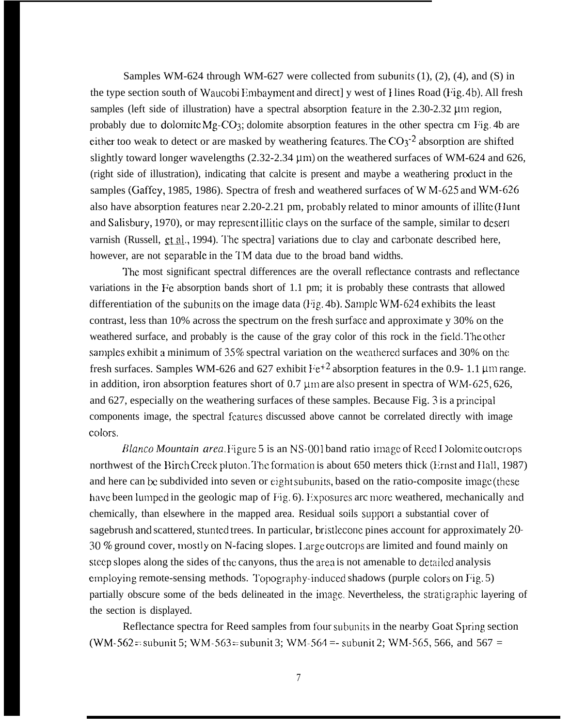Samples WM-624 through WM-627 were collected from subunits  $(1)$ ,  $(2)$ ,  $(4)$ , and  $(S)$  in the type section south of Waucobi Embayment and direct] y west of Hines Road (Fig. 4b). All fresh samples (left side of illustration) have a spectral absorption feature in the  $2.30-2.32$  µm region, probably due to dolomite  $Mg-CO_3$ ; dolomite absorption features in the other spectra cm Fig. 4b are either too weak to detect or are masked by weathering features. The  $CO<sub>3</sub>$ <sup>-2</sup> absorption are shifted slightly toward longer wavelengths  $(2.32-2.34 \,\mu m)$  on the weathered surfaces of WM-624 and 626, (right side of illustration), indicating that calcite is present and maybe a weathering product in the samples (Gaffey, 1985, 1986). Spectra of fresh and weathered surfaces of W  $M$ -625 and W $M$ -626 also have absorption features near 2.20-2.21 pm, probably related to minor amounts of illite (Hunt and Salisbury, 1970), or may represcmt illitic clays on the surface of the sample, similar to deserl varnish (Russell, et al., 1994). The spectral variations due to clay and carbonate described here, however, are not separable in the TM data due to the broad band widths.

The most significant spectral differences are the overall reflectance contrasts and reflectance variations in the  $Fe$  absorption bands short of 1.1 pm; it is probably these contrasts that allowed differentiation of the subunits on the image data ( $Fig. 4b$ ). Sample WM-624 exhibits the least contrast, less than  $10\%$  across the spectrum on the fresh surface and approximate y 30% on the weathered surface, and probably is the cause of the gray color of this rock in the field. The other samples exhibit a minimum of 35% spectral variation on the weathered surfaces and 30% on the fresh surfaces. Samples WM-626 and 627 exhibit  $Fe^{+2}$  absorption features in the 0.9- 1.1 µm range. in addition, iron absorption features short of  $0.7 \mu m$  are also present in spectra of WM-625, 626, and 627, especially on the weathering surfaces of these samples. Because Fig. 3 is a principaI components image, the spectral features discussed above cannot be correlated directly with image colors.

*Blanco Mountain area.* Figure 5 is an NS-001 band ratio image of Reed I Dolomite outcrops northwest of the Birch Creek pluton. The formation is about 650 meters thick (Ernst and Hall, 1987) and here can be subdivided into seven or eight subunits, based on the ratio-composite image (these have been lumped in the geologic map of Fig. 6). Exposures arc more weathered, mechanically and chemically, than elsewhere in the mapped area. Residual soils support a substantial cover of sagebrush and scattered, stunted trees. In particular, bristlecone pines account for approximately 20-30 % ground cover, mostly on N-facing slopes. Large outcrops are limited and found mainly on steep slopes along the sides of the canyons, thus the area is not amenable to detailed analysis employing remote-sensing methods. Topography-induced shadows (purple colors on Fig. 5) partially obscure some of the beds delineated in the image. Nevertheless, the stratigraphic layering of the section is displayed.

Reflectance spectra for Reed samples from four subunits in the nearby Goat Spring section (WM-562 = subunit 5; WM-563 = subunit 3; WM-564 =- subunit 2; WM-565, 566, and 567 =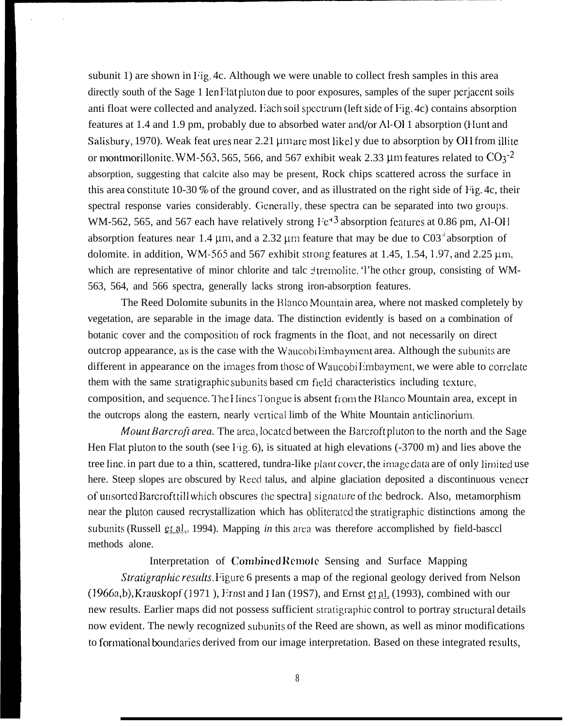subunit 1) are shown in Fig. 4c. Although we were unable to collect fresh samples in this area directly south of the Sage 1 Ien Flat pluton due to poor exposures, samples of the super perjacent soils anti float were collected and analyzed. Each soil spectrum (left side of Fig. 4c) contains absorption features at 1.4 and 1.9 pm, probably due to absorbed water ancl/or Al-O} 1 absorption (Hunt and Salisbury, 1970). Weak feat ures near 2.21  $\mu$ m are most likely due to absorption by OH from illite or montmorillonite. WM-563, 565, 566, and 567 exhibit weak 2.33  $\mu$ m features related to CO<sub>3</sub><sup>-2</sup> absorption, suggesting that calcite also may be present, Rock chips scattered across the surface in this area constitute 10-30 % of the ground cover, and as illustrated on the right side of Fig. 4c, their spectral response varies considerably. Generally, these spectra can be separated into two groups. WM-562, 565, and 567 each have relatively strong  $Fe^{+3}$  absorption features at 0.86 pm, Al-OH absorption features near 1.4  $\mu$ m, and a 2.32  $\mu$ m feature that may be due to C03<sup>-2</sup> absorption of dolomite. in addition, WM-565 and 567 exhibit strong features at 1.45, 1.54, 1.97, and 2.25  $\mu$ m, which are representative of minor chlorite and talc intermolite. The other group, consisting of WM-563, 564, and 566 spectra, generally lacks strong iron-absorption features.

The Reed Dolomite subunits in the Blanco Mountain area, where not masked completely by vegetation, are separable in the image data. The distinction evidently is based on a combination of botanic cover and the composition of rock fragments in the float, and not necessarily on direct outcrop appearance, as is the case with the Waucobi Embayment area. Although the subunits are different in appearance on the images from those of Waucobi Embayment, we were able to correlate them with the same stratigraphic subunits based cm field characteristics including texture, composition, and sequence. The Hines Tongue is absent from the Blanco Mountain area, except in the outcrops along the eastern, nearly vertical limb of the White Mountain anticlinorium.

*Mount Barcroft area.* The area, located between the Barcroft pluton to the north and the Sage Hen Flat pluton to the south (see Fig. 6), is situated at high elevations  $(-3700 \text{ m})$  and lies above the tree line, in part due to a thin, scattered, tundra-like plant cover, the image data are of only limited use here. Steep slopes are obscured by Reed talus, and alpine glaciation deposited a discontinuous veneer of unsorted Barcroft till which obscures the spectral signature of the bedrock. Also, metamorphism near the pluton caused recrystallization which has obliterated the stratigraphic distinctions among the subunits (Russell et al., 1994). Mapping *in* this area was therefore accomplished by field-basccl methods alone.

Interpretation of Combined Remote Sensing and Surface Mapping

*Stratigraphic results*. Figure 6 presents a map of the regional geology derived from Nelson  $(1966a,b)$ , Krauskopf (1971), Ernst and Han (19S7), and Ernst et al. (1993), combined with our new results. Earlier maps did not possess sufficient stratigraphic control to portray structural details now evident. The newly recognized subunits of the Reed are shown, as well as minor modifications to formational boundaries derived from our image interpretation. Based on these integrated results,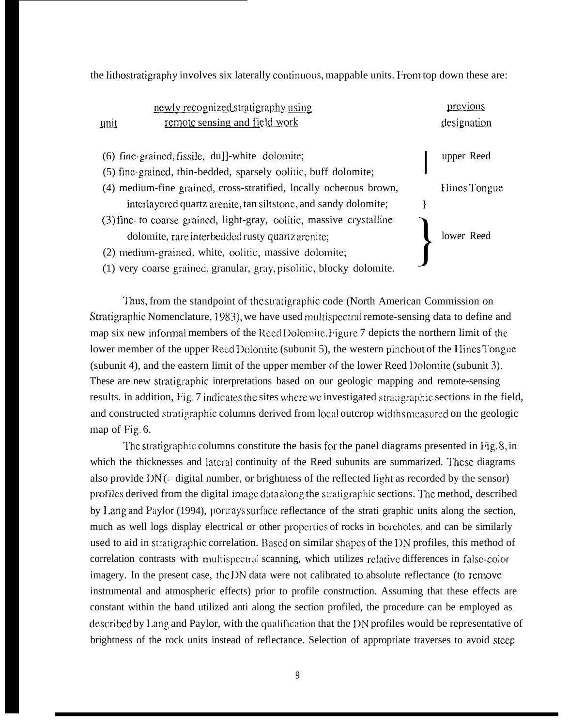the lithostratigraphy involves six laterally continuous, mappable units. From top down these are:

| newly recognized stratigraphy using                                                                                | previous     |
|--------------------------------------------------------------------------------------------------------------------|--------------|
| remote sensing and <u>field work</u><br>unit                                                                       | designation  |
| (6) fine-grained, fissile, du]]-white dolomite;<br>(5) fine-grained, thin-bedded, sparsely oolitic, buff dolomite; | upper Reed   |
| (4) medium-fine grained, cross-stratified, locally ocherous brown,                                                 | Hines Tongue |
| interlayered quartz arenite, tan siltstone, and sandy dolomite;                                                    |              |
| (3) fine- to coarse-grained, light-gray, oolitic, massive crystalline                                              |              |
| dolomite, rare interbedded rusty quartz arenite;                                                                   | lower Reed   |
| (2) medium-grained, white, oolitic, massive dolomite;                                                              |              |
| (1) very coarse grained, granular, gray, pisolitic, blocky dolomite.                                               |              |

Thus, from the standpoint of the stratigraphic code (North American Commission on Stratigraphic Nomenclature, 1983), we have used multispectral remote-sensing data to define and map six new informal members of the Reed Dolomite. Figure 7 depicts the northern limit of the lower member of the upper Reed Dolomite (subunit 5), the western pinchout of the Hines Tongue (subunit 4), and the eastern limit of the upper member of the lower Reed Dolomite (subunit 3). These are new stratigraphic interpretations based on our geologic mapping and remote-sensing results. in addition, Fig. 7 indicates the sites where we investigated stratigraphic sections in the field, and constructed stratigraphic columns derived from local outcrop widths measured on the geologic map of Fig. 6.

The stratigraphic columns constitute the basis for the panel diagrams presented in  $\Gamma$ ig, 8, in which the thicknesses and lateral continuity of the Reed subunits are summarized. These diagrams also provide  $DN$  (= digital number, or brightness of the reflected light as recorded by the sensor) profiles derived from the digital image data along the stratigraphic sections. The method, described by Lang and Paylor (1994), portrays surface reflectance of the strati graphic units along the section, much as well logs display electrical or other properties of rocks in boreholes, and can be similarly used to aid in stratigraphic correlation. Based on similar shapes of the I)N profiles, this method of correlation contrasts with multispectral scanning, which utilizes relative differences in false-color imagery. In the present case, the DN data were not calibrated to absolute reflectance (to remove instrumental and atmospheric effects) prior to profile construction. Assuming that these effects are constant within the band utilized anti along the section profiled, the procedure can be employed as described by Lang and Paylor, with the qualification that the I>N profiles would be representative of brightness of the rock units instead of reflectance. Selection of appropriate traverses to avoid steep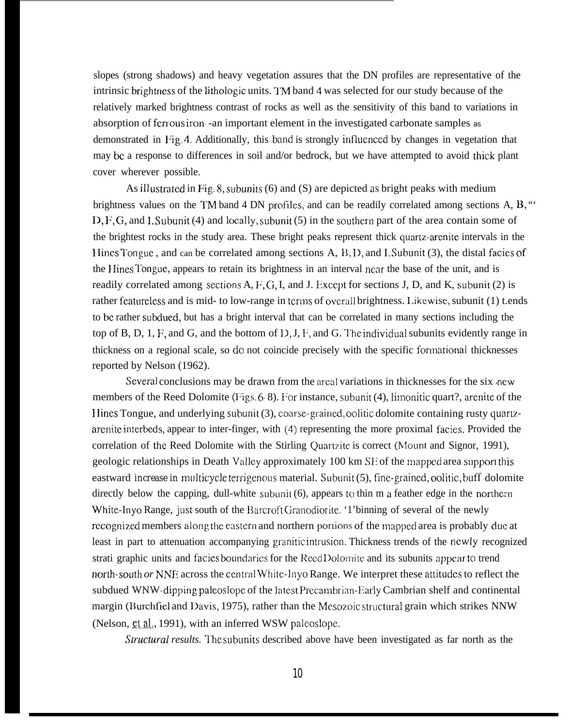slopes (strong shadows) and heavy vegetation assures that the DN profiles are representative of the intrinsic brightness of the lithologic units. TM band 4 was selected for our study because of the relatively marked brightness contrast of rocks as well as the sensitivity of this band to variations in absorption of ferrous iron -an important element in the investigated carbonate samples as demonstrated in Fig. 4. Additionally, this band is strongly influenced by changes in vegetation that may bc a response to differences in soil and/or bedrock, but we have attempted to avoid thick plant cover wherever possible.

As illustrated in Fig. 8, subunits (6) and (S) are depicted as bright peaks with medium brightness values on the TM band 4 DN profiles, and can be readily correlated among sections  $A, B, \dots$  $D, F, G$ , and I. Subunit (4) and locally, subunit (5) in the southern part of the area contain some of the brightest rocks in the study area. These bright peaks represent thick quartz-arenite intervals in the Hines Tongue, and can be correlated among sections A, B, D, and I. Subunit (3), the distal facies of the Hines Tongue, appears to retain its brightness in an interval near the base of the unit, and is readily correlated among sections A, F, G, I, and J. Except for sections J, D, and K, subunit (2) is rather featureless and is mid- to low-range in terms of overall brightness. Likewise, subunit (1) t.ends to be rather subdued, but has a bright interval that can be correlated in many sections including the top of B, D, 1, F, and G, and the bottom of  $D, J, F$ , and G. The individual subunits evidently range in thickness on a regional scale, so do not coincide precisely with the specific formational thicknesses reported by Nelson (1962).

Several conclusions may be drawn from the areal variations in thicknesses for the six new members of the Reed Dolomite (Figs. 6-8). For instance, subunit (4), limonitic quart?, arenite of the Hines Tongue, and underlying subunit (3), coarse-grained, oolitic dolomite containing rusty quartzarenite interbeds, appear to inter-finger, with (4) representing the more proximal facies. Provided the correlation of the Reed Dolomite with the Stirling Quartzite is correct (Mount and Signor, 1991), geologic relationships in Death Valley approximately 100 km SE of the mapped area support this eastward *increase in* multicycle terrigenous material. Subunit (5), fine-grained, oolitic, buff dolomite directly below the capping, dull-white subunit (6), appears to thin m a feather edge in the northern White-lnyo Range, just south of the Barcroft Granodiorite, '1'binning of several of the newly recognized members along the eastern and northern portions of the mapped area is probably due at least in part to attenuation accompanying granitic intrusion. Thickness trends of the ncwIy recognized strati graphic units and facies boundaries for the Reed Dolomite and its subunits appear to trend north-south *or* NNE across the central White-Inyo Range. We interpret these attitudes to reflect the subdued WNW-dipping paleoslope of the latest Precambrian-Early Cambrian shelf and continental margin (Burchfiel and Davis, 1975), rather than the Mesozoic structural grain which strikes NNW (Nelson, et al., 1991), with an inferred WSW palcoslope.

*Structural results.* The subunits described above have been investigated as far north as the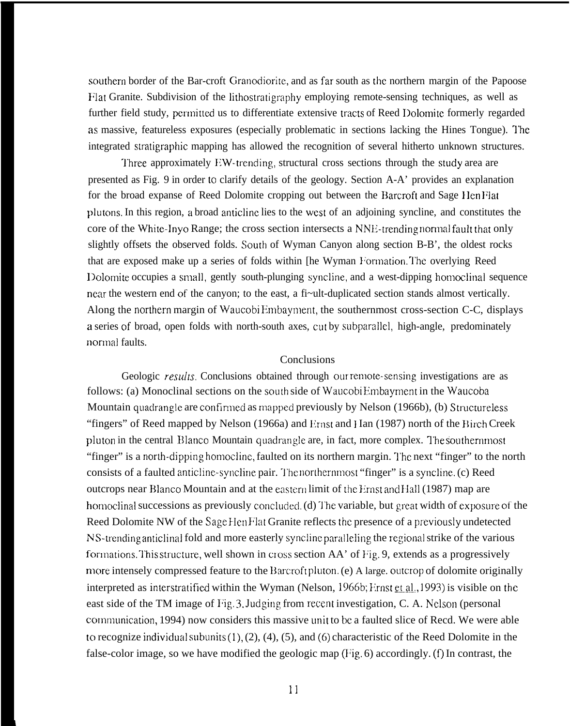southern border of the Bar-croft Granodiorite, and as far south as the northern margin of the Papoose Flat Granite. Subdivision of the lithostratigraphy employing remote-sensing techniques, as well as further field study, permitted us to differentiate extensive tracts of Reed Dolomite formerly regarded as massive, featureless exposures (especially problematic in sections lacking the Hines Tongue). The integrated stratigraphic mapping has allowed the recognition of several hitherto unknown structures.

Three approximately EW-trending, structural cross sections through the study area are presented as Fig. 9 in order to clarify details of the geology. Section A-A' provides an explanation for the broad expanse of Reed Dolomite cropping out between the Barcroft and Sage Ilen Hat plutons. In this region, a broad anticlinc lies to the west of an adjoining syncline, and constitutes the core of the White-Inyo Range; the cross section intersects a NNE-trending normal fault that only slightly offsets the observed folds. South of Wyman Canyon along section B-B', the oldest rocks that are exposed make up a series of folds within [he Wyman Formation. The overlying Reed Dolomite occupies a small, gently south-plunging syncline, and a west-dipping homoclinal sequence mar the western end of the canyon; to the east, a fi~ult-duplicated section stands almost vertically. Along the norlhern margin of Waucobi Embayment, the southernmost cross-section C-C, displays a series of broad, open folds with north-south axes, cut by subparallel, high-angle, predominately normal faults.

## **Conclusions**

Geologic *results*. Conclusions obtained through our remote-sensing investigations are as follows: (a) Monoclinal sections on the south side of Waucobi Embayment in the Waucoba Mountain quadrangle are confirmed as mapped previously by Nelson (1966b), (b) Structureless "fingers" of Reed mapped by Nelson (1966a) and Ernst and Han (1987) north of the Birch Creek pluton in the central Blanco Mountain quadrangle are, in fact, more complex. The southernmost "finger" is a north-dipping homocline, faulted on its northern margin. The next "finger" to the north consists of a faulted anticline-syncline pair. The northernmost "finger" is a syncline. (c) Reed outcrops near Blanco Mountain and at the eastern limit of the Ernst and Hall (1987) map are homoclinal successions as previously concluded. (d) The variable, but great width of exposure of the Reed Dolomite NW of the Sage Hen Flat Granite reflects the presence of a previously undetected NS-trending anticlinal fold and more easterly syncline paralleling the regional strike of the various formations. This structure, well shown in cross section AA' of Fig. 9, extends as a progressively more intensely compressed feature to the Barcroft pluton. (e) A large. outcrop of dolomite originally interpreted as interstratified within the Wyman (Nelson,  $1966b$ ; *Firnst et al.*, 1993) is visible on the east side of the TM image of Fig. 3. Judging from recent investigation, C. A. Nelson (personal communication, 1994) now considers this massive unit to be a faulted slice of Recd. We were able to recognize individual subunits  $(1)$ ,  $(2)$ ,  $(4)$ ,  $(5)$ , and  $(6)$  characteristic of the Reed Dolomite in the false-color image, so we have modified the geologic map  $(Fig, 6)$  accordingly. (f) In contrast, the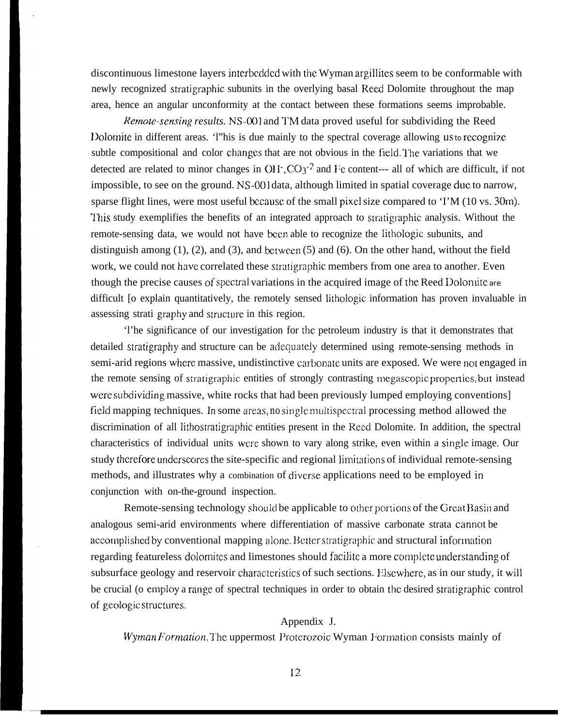discontinuous limestone layers interbedded with the Wyman argillites seem to be conformable with newly recognized stratigraphic subunits in the overlying basal Reed Dolomite throughout the map area, hence an angular unconformity at the contact between these formations seems improbable.

*Remote-sensing results.* NS-001 and TM data proved useful for subdividing the Reed Dolomite in different areas. 'l'his is due mainly to the spectral coverage allowing  $\mu$ s to recognize subtle compositional and color changes that are not obvious in the field. The variations that we detected are related to minor changes in  $OH^-$ ,  $CO_3^{-2}$  and Fe content--- all of which are difficult, if not impossible, to see on the ground. NS-001 data, although limited in spatial coverage due to narrow, sparse flight lines, were most useful because of the small pixel size compared to 'I'M  $(10 \text{ vs. } 30 \text{m})$ . This study exemplifies the benefits of an integrated approach to stratigraphic analysis. Without the remote-sensing data, we would not have been able to recognize the lithologic subunits, and distinguish among  $(1)$ ,  $(2)$ , and  $(3)$ , and between  $(5)$  and  $(6)$ . On the other hand, without the field work, we could not have correlated these stratigraphic members from one area to another. Even though the precise causes of spectral variations in the acquired image of the Reed Dolomite are difficult [o explain quantitatively, the remotely sensed lithologic information has proven invaluable in assessing strati graphy and structure in this region.

'l'he significance of our investigation for the. petroleum industry is that it demonstrates that detailed stratigraphy and structure can be adequately determined using remote-sensing methods in semi-arid regions where massive, undistinctive carbonate units are exposed. We were not engaged in the remote sensing of stratigraphic entities of strongly contrasting megascopic properties, but instead were subdividing massive, white rocks that had been previously lumped employing conventions] field mapping techniques. In some areas, *no* single multispectral processing method allowed the discrimination of all lithosrratigraphic entities present in the Reed Dolomite. In addition, the spectral characteristics of individual units were shown to vary along strike, even within a single image. Our study therefore underscores the site-specific and regional limitations of individual remote-sensing methods, and illustrates why a combination of diverse applications need to be employed in conjunction with on-the-ground inspection.

Remote-sensing technology should be applicable to other portions of the Great Basin and analogous semi-arid environments where differentiation of massive carbonate strata cannot be accomplished by conventional mapping alone. Better stratigraphic and structural information regarding featureless dolomites and limestones should facilite a more complete understanding of subsurface geology and reservoir characteristics of such sections. Elsewhere, as in our study, it will be crucial (o empIoy a range of spectral techniques in order to obtain the desired stratigraphic control of geologic structures.

## Appendix J.

*Wyman Formation.* The uppermost Proterozoic Wyman Formation consists mainly of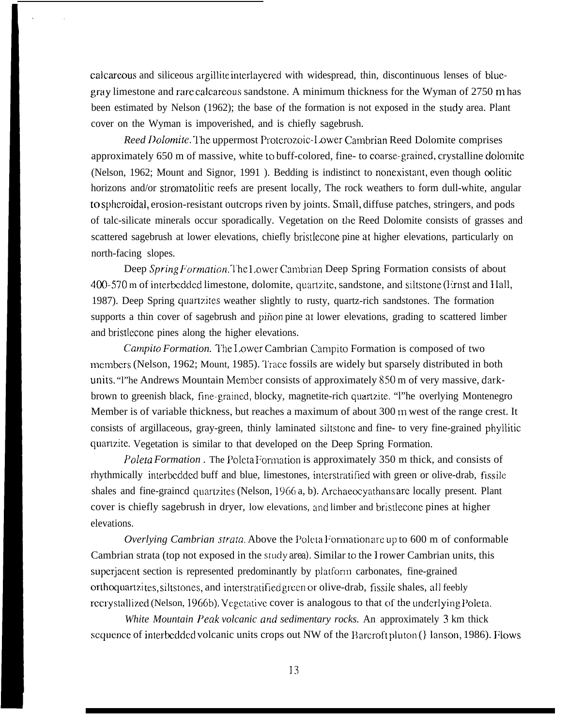calcareous and siliceous argillite interlayerecl with widespread, thin, discontinuous lenses of bluegray limestone and rare calcarcous sandstone. A minimum thickness for the Wyman of 2750 m has been estimated by Nelson (1962); the base of the formation is not exposed in the study area. Plant cover on the Wyman is impoverished, and is chiefly sagebrush.

*Reed Dolomite.* The uppermost Proterozoic-Lower Cambrian Reed Dolomite comprises approximately 650 m of massive, white to buff-colored, fine- to coarse-grained, crystalline dolomite (Nelson, 1962; Mount and Signor, 1991). Bedding is indistinct to nonexistant, even though oolitic horizons and/or stromatolitic reefs are present locally, The rock weathers to form dull-white, angular to sphcroida], erosion-resistant outcrops riven by joints. Small, diffuse patches, stringers, and pods of talc-silicate minerals occur sporadically. Vegetation on the Reed Dolomite consists of grasses and scattered sagebrush at lower elevations, chiefly bristlecone pine at higher elevations, particularly on north-facing slopes.

Deep *Spring Formation*. The Lower Cambrian Deep Spring Formation consists of about 400-570 m of interbedded limestone, dolomite, quartzite, sandstone, and siltstone (Ernst and Hall, 1987). Deep Spring quartzites weather slightly to rusty, quartz-rich sandstones. The formation supports a thin cover of sagebrush and piñon pine at lower elevations, grading to scattered limber and bristlecone pines along the higher elevations.

*Carnpiro Formation. ~'he* 1.ower Cambrian Campito Formation is composed of two members (Nelson, 1962; Mount, 1985). Trace fossils are widely but sparsely distributed in both units. "I'he Andrews Mountain Member consists of approximately 850 m of very massive, darkbrown to greenish black, fine-graincd, blocky, magnetite-rich quartzite. "l"he overlying Montenegro Member is of variable thickness, but reaches a maximum of about 300 m west of the range crest. It consists of argillaceous, gray-green, thinly laminated siltstonc and fine- to very fine-grained phyllitic quartzitc. Vegetation is similar to that developed on the Deep Spring Formation.

*Poleta Formation* . The Poleta Formation is approximately 350 m thick, and consists of rhythmically interbcdded buff and blue, limestones, intcrstratified with green or olive-drab, fissile shales and fine-graincd quartzites (Nelson, 1966 a, b). Archaeocyathans are locally present. Plant cover is chiefly sagebrush in dryer, low elevations, and limber and bristlecone pines at higher elevations.

*Overlying Cambrian strata.* Above the Poleta Formation are up to 600 m of conformable Cambrian strata (top not exposed in the *study area)*. Similar to the I rower Cambrian units, this superjacent section is represented predominantly by platform carbonates, fine-grained orthoquartzites, siltstones, and interstratified green or olive-drab, fissile shales, all feebly recrystallized (Nelson, 1966b). Vegetative cover is analogous to that of the underlying Poleta.

*White Mountain Peak volcanic ond sedimentary rocks.* An approximately 3 km thick scqucncc of interbeddcd volcanic units crops out NW of the Barcroft pluton (} Ianson, 1986). Flows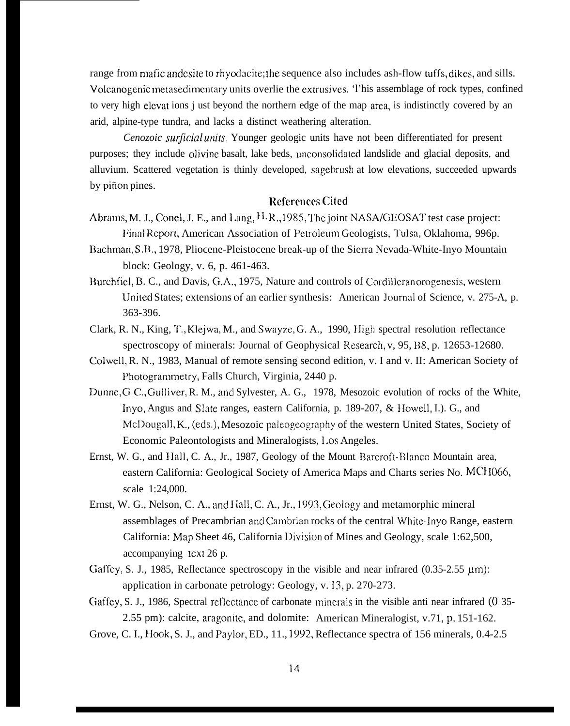range from mafic andcsite to rhyodacite; the sequence also includes ash-flow tuffs, dikes, and sills. Volcanogenic metasedimentary units overlie the extrusives. 'l'his assemblage of rock types, confined to very high elcvat ions j ust beyond the northern edge of the map area, is indistinctly covered by an arid, alpine-type tundra, and lacks a distinct weathering alteration.

*Cenozoic surjlciul unifs.* Younger geologic units have not been differentiated for present purposes; they include olivine basalt, lake beds, unconsolidated landslide and glacial deposits, and alluvium. Scattered vegetation is thinly developed, sagebrush at low elevations, succeeded upwards by piñon pines.

## References Cited

- Abrams, M. J., Conel, J. E., and Lang, H. R., 1985, The joint NASA/GEOSAT test case project: Final Report, American Association of Petroleum Geologists, Tulsa, Oklahoma, 996p.
- Bachman, S.B., 1978, Pliocene-Pleistocene break-up of the Sierra Nevada-White-Inyo Mountain block: Geology, v. 6, p. 461-463.
- Burchfiel, B. C., and Davis, G.A., 1975, Nature and controls of Cordilleran orogenesis, western United States; extensions of an earlier synthesis: American Journal of Science, v. 275-A, p. 363-396.
- Clark, R. N., King, T., Klejwa, M., and Swayze, G. A., 1990, High spectral resolution reflectance spectroscopy of minerals: Journal of Geophysical Research, v, 95, B8, p. 12653-12680.
- Colwell, R. N., 1983, Manual of remote sensing second edition, v. I and v. II: American Society of Photogramrnetry, Falls Church, Virginia, 2440 p.
- Dunne, G. C., Gulliver, R. M., and Sylvester, A. G., 1978, Mesozoic evolution of rocks of the White, Inyo, Angus and Slate ranges, eastern California, p. 189-207, & Ilowell, I.). G., and McDougall, K., (eds.), Mesozoic paleogeography of the western United States, Society of Economic Paleontologists and Mineralogists, 1.OS Angeles.
- Ernst, W. G., and Hall, C. A., Jr., 1987, Geology of the Mount Barcroft-Blanco Mountain area, eastern California: Geological Society of America Maps and Charts series No. MCI I066, scale 1:24,000.
- Ernst, W. G., Nelson, C. A., and Hall, C. A., Jr., 1993, Geology and metamorphic mineral assemblages of Precambrian and Carubrian rocks of the central White-Inyo Range, eastern California: Map Sheet 46, California l)ivision of Mines and Geology, scale 1:62,500, accompanying text 26 p.
- Gaffey, S. J., 1985, Reflectance spectroscopy *in* the visible and near infrared (0.35-2.55 µm): application in carbonate petrology: Geology, v. 13, p. 270-273.
- Gaffey, S. J., 1986, Spectral reflectance of carbonate minerals in the visible anti near infrared (0.35-2.55 pm): calcite, aragonite, and dolomite: American Mineralogist, v.71, p. 151-162.
- Grove, C. I., Ilook, S. J., and Paylor, ED., 11., 1992, Reflectance spectra of 156 minerals, 0.4-2.5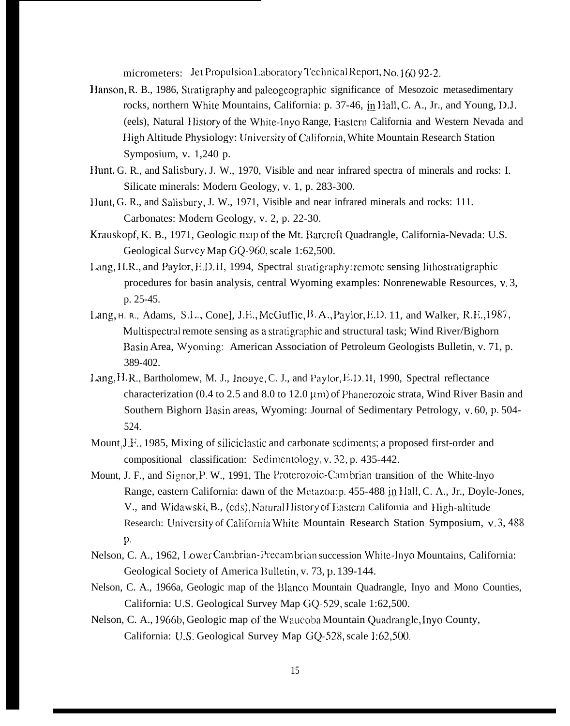micrometers: Jet Propulsion Laboratory Technical Report, No. 160 92-2.

- Hanson, R. B., 1986, Stratigraphy and paleogeographic significance of Mesozoic metasedimentary rocks, northern White Mountains, California: p. 37-46, in Hall, C. A., Jr., and Young, D.J. (eels), Natural History of the White-Inyo Range, Eastern California and Western Nevada and High Altitude Physiology: University of California, White Mountain Research Station Symposium, v.  $1,240$  p.
- Hunt, G. R., and Salisbury, J. W., 1970, Visible and near infrared spectra of minerals and rocks: I. Silicate minerals: Modern Geology, v. 1, p. 283-300.
- Hunt, G. R., and Salisbury, J. W., 1971, Visible and near infrared minerals and rocks: 111. Carbonates: Modern Geology, v. 2, p. 22-30.
- Krauskopf, K. B., 1971, Geologic map of the Mt. Barcroft Quadrangle, California-Nevada: U.S. Geological Survey Map GQ-960, scale 1:62,500.
- Lang, H.R., and Paylor, E.D.II, 1994, Spectral stratigraphy: remote sensing lithostratigraphic procedures for basin analysis, central Wyoming examples: Nonrenewable Resources, v.3, p. 25-45.
- Lang, н. к., Adams, S.L., Cone], J.E., McGuffie, B.A., Paylor, E.D. 11, and Walker, R.E., 1987, Multispectral remote sensing as a stratigraphic and structural task; Wind River/Bighorn Basin Area, Wyoming: American Association of Petroleum Geologists Bulletin, v. 71, p. 389-402.
- Lang, H.R., Bartholomew, M. J., Inouye, C. J., and Paylor, E.D.II, 1990, Spectral reflectance characterization (0.4 to 2.5 and 8.0 to 12.0  $\mu$ m) of Phanerozoic strata, Wind River Basin and Southern Bighorn Basin areas, Wyoming: Journal of Sedimentary Petrology, v. 60, p. 504-524.
- Mount, J.F., 1985, Mixing of siliciclastic and carbonate sediments; a proposed first-order and compositional classification: Sedimentology, v. 32, p. 435-442.
- Mount, J. F., and Signor, P. W., 1991, The Proterozoic-Cambrian transition of the White-lnyo Range, eastern California: dawn of the Metazoa: p. 455-488 in Hall, C. A., Jr., Doyle-Jones, V., and Widawski, B., (eds), Natural History of Eastern California and High-altitude Research: University of California White Mountain Research Station Symposium, v.3, 488 p.
- Nelson, C. A., 1962, Lower Cambrian-Precambrian succession White-Inyo Mountains, California: Geological Society of America Bulletin, v. 73, p. 139-144.
- Nelson, C. A., 1966a, Geologic map of the Blanco Mountain Quadrangle, Inyo and Mono Counties, California: U.S. Geological Survey Map GQ-529, scale 1:62,500.
- Nelson, C. A., 1966b, Geologic map of the Waucoba Mountain Quadrangle, Inyo County, California: U.S. Geological Survey Map GQ-528, scale 1:62,500.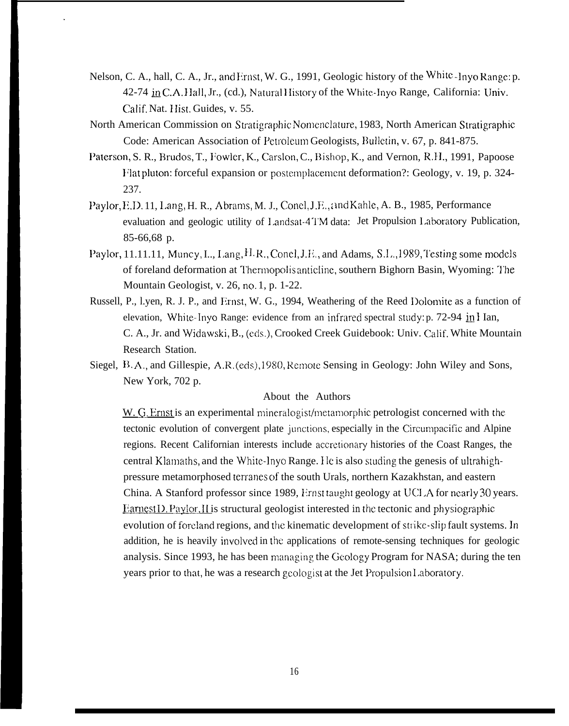- Nelson, C. A., hall, C. A., Jr., and Ernst, W. G., 1991, Geologic history of the White-Invo Range: p. 42-74 in C.A. Hall, Jr., (cd.), Natural History of the White-Inyo Range, California: Univ. Calif, Nat. Hist. Guides, v. 55.
- North American Commission on Stratigraphic Nomenclature, 1983, North American Stratigraphic Code: American Association of Petroleum Geologists, Bulletin, v. 67, p. 841-875.
- Paterson, S. R., Brudos, T., Fowler, K., Carslon, C., Bishop, K., and Vernon, R.H., 1991, Papoose Flat pluton: forceful expansion or postemplacement deformation?: Geology, v. 19, p. 324-237.
- Paylor, E.D. 11, Lang, H. R., Abrams, M. J., Conel, J.E., and Kahle, A. B., 1985, Performance evaluation and geologic utility of Landsat-4TM data: Jet Propulsion Laboratory Publication, 85-66,68 p.
- Paylor, 11.11.11, Muncy, L., Lang, H.R., Conel, J.H., and Adams, S.L., 1989, Testing some models of foreland deformation at Thermopolis anticline, southern Bighorn Basin, Wyoming: The Mountain Geologist, v. 26, no. 1, p. 1-22.
- Russell, P., I.yen, R. J. P., and Frnst, W. G., 1994, Weathering of the Reed Dolomite as a function of elevation, White-Inyo Range: evidence from an infrared spectral study: p. 72-94 in I Ian, C. A., Jr. and Widawski, B., (eds.), Crooked Creek Guidebook: Univ. Calif. White Mountain Research Station.
- Siegel, B.A., and Gillespie, A.R. (eds), 1980, Remote Sensing in Geology: John Wiley and Sons, New York, 702 p.

#### About the Authors

W. G. Ernst is an experimental mineralogist/metamorphic petrologist concerned with the tectonic evolution of convergent plate junctions, especially in the Circumpacific and Alpine regions. Recent Californian interests include accretionary histories of the Coast Ranges, the central Klamaths, and the White-Inyo Range. He is also studing the genesis of ultrahighpressure metamorphosed terranes of the south Urals, northern Kazakhstan, and eastern China. A Stanford professor since 1989, Ernst taught geology at UCLA for nearly 30 years. Earnest D. Paylor, II is structural geologist interested in the tectonic and physiographic evolution of foreland regions, and the kinematic development of strike-slip fault systems. In addition, he is heavily involved in the applications of remote-sensing techniques for geologic analysis. Since 1993, he has been managing the Geology Program for NASA; during the ten years prior to that, he was a research geologist at the Jet Propulsion Laboratory.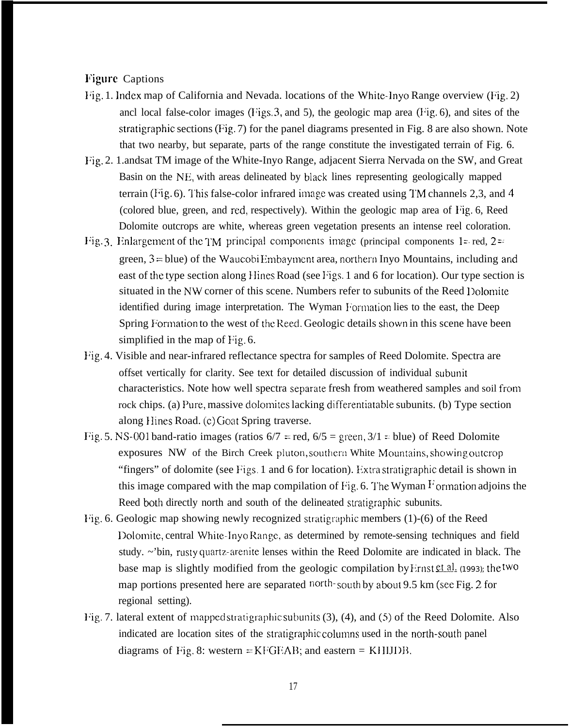# **Figure Captions**

- I'ig. 1. Index map of California and Nevada. locations of the White-Inyo Range overview (Fig. 2) ancl local false-color images ( $Figs. 3$ , and 5), the geologic map area ( $Fig. 6$ ), and sites of the stratigraphic sections (Fig. 7) for the panel diagrams presented in Fig. 8 are also shown. Note that two nearby, but separate, parts of the range constitute the investigated terrain of Fig. 6.
- l:ig. 2. 1.andsat TM image of the White-Inyo Range, adjacent Sierra Nervada on the SW, and Great Basin on the NE, with areas delineated by black lines representing geologically mapped terrain (Fig. 6). I'his false-color infrared image was created using I'M channels 2,3, and 4 (colored blue, green, and red, respectively). Within the geologic map area of I'ig. 6, Reed Dolomite outcrops are white, whereas green vegetation presents an intense reel coloration.
- Fig. 3. Enlargement of the TM principal components image (principal components 1= red,  $2 =$ green,  $3 = blue$ ) of the Waucobi Embayment area, northern Inyo Mountains, including and east of the type section along Hines Road (see Figs. 1 and 6 for location). Our type section is situated in the NW corner of this scene. Numbers refer to subunits of the Reed Dolomite identified during image interpretation. The Wyman Formation lies to the east, the Deep Spring Formation to the west of the Reed. Geologic details shown in this scene have been simplified in the map of Fig. 6.
- Fig. 4. Visible and near-infrared reflectance spectra for samples of Reed Dolomite. Spectra are offset vertically for clarity. See text for detailed discussion of individual subunit characteristics. Note how well spectra separate fresh from weathered samples and soil from rock chips. (a) Pure, massive dolomites lacking differentiatable subunits. (b) Type section along Hines Road. (c) Goat Spring traverse.
- Fig. 5. NS-001 band-ratio images (ratios  $6/7$  = red,  $6/5$  = green,  $3/1$  = blue) of Reed Dolomite exposures NW of the Birch Creek pluton, southern White Mountains, showing outcrop "fingers" of dolomite (see Figs. 1 and 6 for location). Extra stratigraphic detail is shown in this image compared with the map compilation of Fig. 6. The Wyman  $\overline{F}$  ormation adjoins the Reed both directly north and south of the delineated stratigraphic subunits.
- Fig. 6. Geologic map showing newly recognized stratigraphic members  $(1)-(6)$  of the Reed Dolomite, central White-Inyo Range, as determined by remote-sensing techniques and field study. ~'bin, rusty quartz-arenite lenses within the Reed Dolomite are indicated in black. The base map is slightly modified from the geologic compilation by Finst et al. (1993); the two map portions presented here are separated north-south by about 9.5 km (see Fig. 2 for regional setting).
- Fig. 7. lateral extent of mapped stratigraphic subunits  $(3)$ ,  $(4)$ , and  $(5)$  of the Reed Dolomite. Also indicated are location sites of the stratigraphic columns used in the north-south panel diagrams of Fig. 8: western =  $KFGEAB$ ; and eastern =  $KHJDB$ .